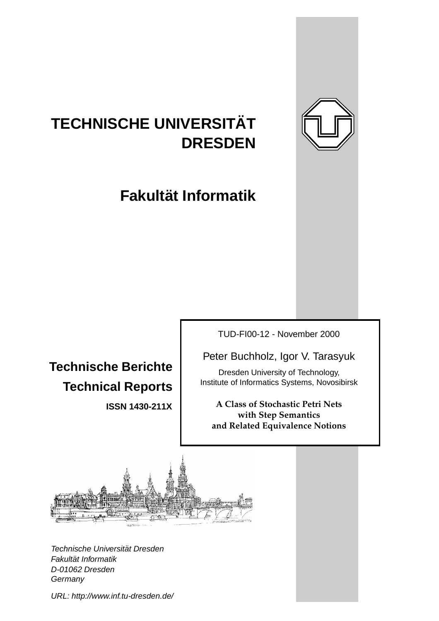

# **TECHNISCHE UNIVERSITAT¨ DRESDEN**

**Fakultat Informatik ¨**

**Technische Berichte Technical Reports**

**ISSN 1430-211X**

TUD-FI00-12 - November 2000

Peter Buchholz, Igor V. Tarasyuk

Dresden University of Technology, Institute of Informatics Systems, Novosibirsk

**A Class of Stochastic Petri Nets with Step Semantics and Related Equivalence Notions**



Technische Universität Dresden Fakultät Informatik D-01062 Dresden **Germany** 

URL: http://www.inf.tu-dresden.de/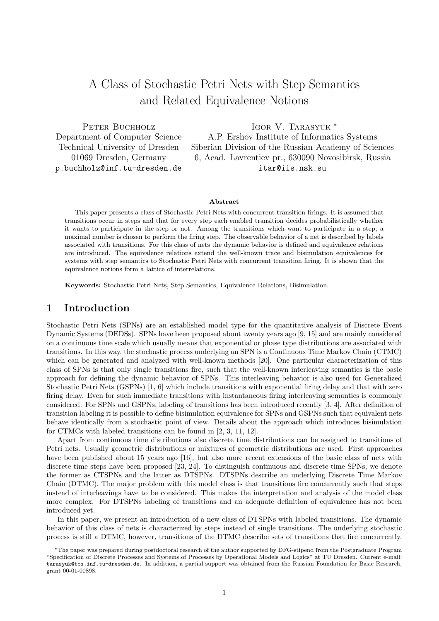## A Class of Stochastic Petri Nets with Step Semantics and Related Equivalence Notions

PETER BUCHHOLZ IGOR V. TARASYUK <sup>∗</sup> Department of Computer Science A.P. Ershov Institute of Informatics Systems Technical University of Dresden Siberian Division of the Russian Academy of Sciences 01069 Dresden, Germany 6, Acad. Lavrentiev pr., 630090 Novosibirsk, Russia p.buchholz@inf.tu-dresden.de itar@iis.nsk.su

#### Abstract

This paper presents a class of Stochastic Petri Nets with concurrent transition firings. It is assumed that transitions occur in steps and that for every step each enabled transition decides probabilistically whether it wants to participate in the step or not. Among the transitions which want to participate in a step, a maximal number is chosen to perform the firing step. The observable behavior of a net is described by labels associated with transitions. For this class of nets the dynamic behavior is defined and equivalence relations are introduced. The equivalence relations extend the well-known trace and bisimulation equivalences for systems with step semantics to Stochastic Petri Nets with concurrent transition firing. It is shown that the equivalence notions form a lattice of interrelations.

Keywords: Stochastic Petri Nets, Step Semantics, Equivalence Relations, Bisimulation.

## 1 Introduction

Stochastic Petri Nets (SPNs) are an established model type for the quantitative analysis of Discrete Event Dynamic Systems (DEDSs). SPNs have been proposed about twenty years ago [9, 15] and are mainly considered on a continuous time scale which usually means that exponential or phase type distributions are associated with transitions. In this way, the stochastic process underlying an SPN is a Continuous Time Markov Chain (CTMC) which can be generated and analyzed with well-known methods [20]. One particular characterization of this class of SPNs is that only single transitions fire, such that the well-known interleaving semantics is the basic approach for defining the dynamic behavior of SPNs. This interleaving behavior is also used for Generalized Stochastic Petri Nets (GSPNs) [1, 6] which include transitions with exponential firing delay and that with zero firing delay. Even for such immediate transitions with instantaneous firing interleaving semantics is commonly considered. For SPNs and GSPNs, labeling of transitions has been introduced recently [3, 4]. After definition of transition labeling it is possible to define bisimulation equivalence for SPNs and GSPNs such that equivalent nets behave identically from a stochastic point of view. Details about the approach which introduces bisimulation for CTMCs with labeled transitions can be found in [2, 3, 11, 12].

Apart from continuous time distributions also discrete time distributions can be assigned to transitions of Petri nets. Usually geometric distributions or mixtures of geometric distributions are used. First approaches have been published about 15 years ago [16], but also more recent extensions of the basic class of nets with discrete time steps have been proposed [23, 24]. To distinguish continuous and discrete time SPNs, we denote the former as CTSPNs and the latter as DTSPNs. DTSPNs describe an underlying Discrete Time Markov Chain (DTMC). The major problem with this model class is that transitions fire concurrently such that steps instead of interleavings have to be considered. This makes the interpretation and analysis of the model class more complex. For DTSPNs labeling of transitions and an adequate definition of equivalence has not been introduced yet.

In this paper, we present an introduction of a new class of DTSPNs with labeled transitions. The dynamic behavior of this class of nets is characterized by steps instead of single transitions. The underlying stochastic process is still a DTMC, however, transitions of the DTMC describe sets of transitions that fire concurrently.

<sup>∗</sup>The paper was prepared during postdoctoral research of the author supported by DFG-stipend from the Postgraduate Program "Specification of Discrete Processes and Systems of Processes by Operational Models and Logics" at TU Dresden. Current e-mail: tarasyuk@tcs.inf.tu-dresden.de. In addition, a partial support was obtained from the Russian Foundation for Basic Research, grant 00-01-00898.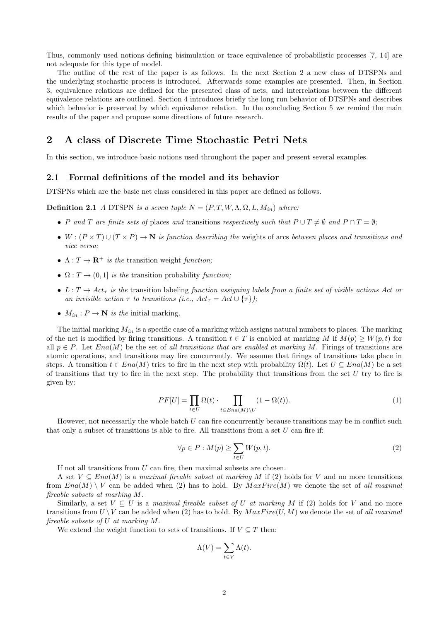Thus, commonly used notions defining bisimulation or trace equivalence of probabilistic processes [7, 14] are not adequate for this type of model.

The outline of the rest of the paper is as follows. In the next Section 2 a new class of DTSPNs and the underlying stochastic process is introduced. Afterwards some examples are presented. Then, in Section 3, equivalence relations are defined for the presented class of nets, and interrelations between the different equivalence relations are outlined. Section 4 introduces briefly the long run behavior of DTSPNs and describes which behavior is preserved by which equivalence relation. In the concluding Section 5 we remind the main results of the paper and propose some directions of future research.

## 2 A class of Discrete Time Stochastic Petri Nets

In this section, we introduce basic notions used throughout the paper and present several examples.

#### 2.1 Formal definitions of the model and its behavior

DTSPNs which are the basic net class considered in this paper are defined as follows.

**Definition 2.1** A DTSPN is a seven tuple  $N = (P, T, W, \Lambda, \Omega, L, M_{in})$  where:

- P and T are finite sets of places and transitions respectively such that  $P \cup T \neq \emptyset$  and  $P \cap T = \emptyset$ ;
- W :  $(P \times T) \cup (T \times P) \rightarrow N$  is function describing the weights of arcs between places and transitions and vice versa;
- $\Lambda: T \to \mathbf{R}^+$  is the transition weight function;
- $\Omega: T \to (0, 1]$  is the transition probability function:
- $L: T \to Act_\tau$  is the transition labeling function assigning labels from a finite set of visible actions Act or an invisible action  $\tau$  to transitions (i.e.,  $Act_{\tau} = Act \cup {\tau}$ );
- $M_{in}: P \to \mathbb{N}$  is the initial marking.

The initial marking  $M_{in}$  is a specific case of a marking which assigns natural numbers to places. The marking of the net is modified by firing transitions. A transition  $t \in T$  is enabled at marking M if  $M(p) \geq W(p, t)$  for all  $p \in P$ . Let  $Ena(M)$  be the set of all transitions that are enabled at marking M. Firings of transitions are atomic operations, and transitions may fire concurrently. We assume that firings of transitions take place in steps. A transition  $t \in Ena(M)$  tries to fire in the next step with probability  $\Omega(t)$ . Let  $U \subseteq Ena(M)$  be a set of transitions that try to fire in the next step. The probability that transitions from the set  $U$  try to fire is given by:

$$
PF[U] = \prod_{t \in U} \Omega(t) \cdot \prod_{t \in Ena(M)\backslash U} (1 - \Omega(t)). \tag{1}
$$

However, not necessarily the whole batch  $U$  can fire concurrently because transitions may be in conflict such that only a subset of transitions is able to fire. All transitions from a set  $U$  can fire if:

$$
\forall p \in P : M(p) \ge \sum_{t \in U} W(p, t). \tag{2}
$$

If not all transitions from  $U$  can fire, then maximal subsets are chosen.

A set  $V \subseteq Ena(M)$  is a maximal fireable subset at marking M if (2) holds for V and no more transitions from  $Ena(M) \setminus V$  can be added when (2) has to hold. By  $MaxFire(M)$  we denote the set of all maximal fireable subsets at marking M.

Similarly, a set  $V \subseteq U$  is a maximal fireable subset of U at marking M if (2) holds for V and no more transitions from  $U \setminus V$  can be added when (2) has to hold. By  $MaxFire(U, M)$  we denote the set of all maximal fireable subsets of U at marking M.

We extend the weight function to sets of transitions. If  $V \subseteq T$  then:

$$
\Lambda(V) = \sum_{t \in V} \Lambda(t).
$$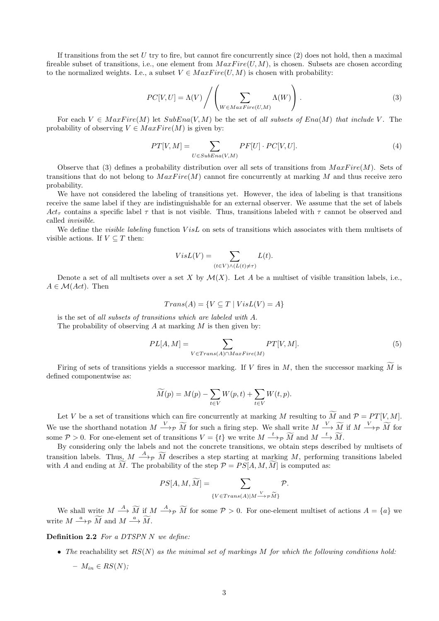If transitions from the set U try to fire, but cannot fire concurrently since  $(2)$  does not hold, then a maximal fireable subset of transitions, i.e., one element from  $MaxFire(U, M)$ , is chosen. Subsets are chosen according to the normalized weights. I.e., a subset  $V \in MaxFire(U, M)$  is chosen with probability:

$$
PC[V, U] = \Lambda(V) / \left( \sum_{W \in MaxFire(U, M)} \Lambda(W) \right). \tag{3}
$$

For each  $V \in MaxFire(M)$  let  $SubEna(V, M)$  be the set of all subsets of  $Ena(M)$  that include V. The probability of observing  $V \in MaxFire(M)$  is given by:

$$
PT[V,M] = \sum_{U \in SubEna(V,M)} PF[U] \cdot PC[V,U]. \tag{4}
$$

Observe that (3) defines a probability distribution over all sets of transitions from  $MaxFire(M)$ . Sets of transitions that do not belong to  $MaxFire(M)$  cannot fire concurrently at marking M and thus receive zero probability.

We have not considered the labeling of transitions yet. However, the idea of labeling is that transitions receive the same label if they are indistinguishable for an external observer. We assume that the set of labels Act<sub>τ</sub> contains a specific label  $\tau$  that is not visible. Thus, transitions labeled with  $\tau$  cannot be observed and called invisible.

We define the *visible labeling* function VisL on sets of transitions which associates with them multisets of visible actions. If  $V \subseteq T$  then:

$$
VisL(V) = \sum_{(t \in V) \land (L(t) \neq \tau)} L(t).
$$

Denote a set of all multisets over a set X by  $\mathcal{M}(X)$ . Let A be a multiset of visible transition labels, i.e.,  $A \in \mathcal{M}(Act)$ . Then

$$
Trans(A) = \{ V \subseteq T \mid VisL(V) = A \}
$$

is the set of all subsets of transitions which are labeled with A. The probability of observing  $A$  at marking  $M$  is then given by:

$$
PL[A,M] = \sum_{V \in Trans(A) \cap MaxFire(M)} PT[V,M]. \tag{5}
$$

Firing of sets of transitions yields a successor marking. If V fires in M, then the successor marking  $\widetilde{M}$  is defined componentwise as:

$$
\widetilde{M}(p) = M(p) - \sum_{t \in V} W(p, t) + \sum_{t \in V} W(t, p).
$$

Let V be a set of transitions which can fire concurrently at marking M resulting to  $\widetilde{M}$  and  $\mathcal{P} = PT[V, M]$ . We use the shorthand notation  $M \xrightarrow{V} \widetilde{M}$  for such a firing step. We shall write  $M \xrightarrow{V} \widetilde{M}$  if  $M \xrightarrow{V} \widetilde{M}$  for some  $P > 0$ . For one-element set of transitions  $V = \{t\}$  we write  $M \longrightarrow_{\mathcal{P}} \widetilde{M}$  and  $M \longrightarrow_{\mathcal{M}} \widetilde{M}$ .

By considering only the labels and not the concrete transitions, we obtain steps described by multisets of transition labels. Thus,  $M \longrightarrow_{\mathcal{P}} \widetilde{M}$  describes a step starting at marking M, performing transitions labeled with A and ending at  $\overline{M}$ . The probability of the step  $\mathcal{P} = PS[A, M, M]$  is computed as:

$$
PS[A, M, \widetilde{M}] = \sum_{\{V \in Trans(A) | M \xrightarrow{V} \mathcal{P} \widetilde{M}\}} \mathcal{P}.
$$

We shall write  $M \stackrel{A}{\longrightarrow} \widetilde{M}$  if  $M \stackrel{A}{\longrightarrow} \widetilde{p}$  for some  $P > 0$ . For one-element multiset of actions  $A = \{a\}$  we write  $M \stackrel{a}{\longrightarrow} p \widetilde{M}$  and  $M \stackrel{a}{\longrightarrow} \widetilde{M}$ .

Definition 2.2 For a DTSPN N we define:

• The reachability set  $RS(N)$  as the minimal set of markings M for which the following conditions hold:

$$
- M_{in} \in RS(N);
$$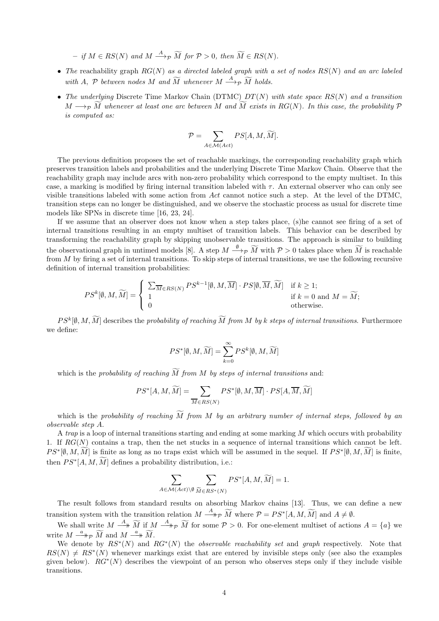$-$  if  $M \in RS(N)$  and  $M \stackrel{A}{\longrightarrow}_{\mathcal{P}} \widetilde{M}$  for  $\mathcal{P} > 0$ , then  $\widetilde{M} \in RS(N)$ .

- The reachability graph  $RG(N)$  as a directed labeled graph with a set of nodes  $RS(N)$  and an arc labeled with A, P between nodes M and  $\widetilde{M}$  whenever  $M \stackrel{A}{\longrightarrow}_{\mathcal{P}} \widetilde{M}$  holds.
- The underlying Discrete Time Markov Chain (DTMC)  $DT(N)$  with state space  $RS(N)$  and a transition  $M \longrightarrow_{\mathcal{P}} \overline{M}$  whenever at least one arc between M and  $\overline{M}$  exists in RG(N). In this case, the probability  $\mathcal P$ is computed as:

$$
\mathcal{P} = \sum_{A \in \mathcal{M}(Act)} PS[A, M, \widetilde{M}].
$$

The previous definition proposes the set of reachable markings, the corresponding reachability graph which preserves transition labels and probabilities and the underlying Discrete Time Markov Chain. Observe that the reachability graph may include arcs with non-zero probability which correspond to the empty multiset. In this case, a marking is modified by firing internal transition labeled with  $\tau$ . An external observer who can only see visible transitions labeled with some action from Act cannot notice such a step. At the level of the DTMC, transition steps can no longer be distinguished, and we observe the stochastic process as usual for discrete time models like SPNs in discrete time [16, 23, 24].

If we assume that an observer does not know when a step takes place, (s)he cannot see firing of a set of internal transitions resulting in an empty multiset of transition labels. This behavior can be described by transforming the reachability graph by skipping unobservable transitions. The approach is similar to building the observational graph in untimed models [8]. A step  $M \xrightarrow{\emptyset} \widetilde{M}$  with  $P > 0$  takes place when  $\widetilde{M}$  is reachable from M by firing a set of internal transitions. To skip steps of internal transitions, we use the following recursive definition of internal transition probabilities:

$$
PS^k[\emptyset, M, \widetilde{M}] = \begin{cases} \sum_{\overline{M} \in RS(N)} PS^{k-1}[\emptyset, M, \overline{M}] \cdot PS[\emptyset, \overline{M}, \widetilde{M}] & \text{if } k \ge 1; \\ 1 & \text{if } k = 0 \text{ and } M = \widetilde{M}; \\ 0 & \text{otherwise.} \end{cases}
$$

 $PS^k[\emptyset, M, M]$  describes the probability of reaching  $\tilde{M}$  from M by k steps of internal transitions. Furthermore we define:

$$
PS^*[\emptyset, M, \widetilde{M}] = \sum_{k=0}^{\infty} PS^k[\emptyset, M, \widetilde{M}]
$$

which is the probability of reaching  $\widetilde{M}$  from M by steps of internal transitions and:

$$
PS^*[A, M, \widetilde{M}] = \sum_{\overline{M} \in RS(N)} PS^*[\emptyset, M, \overline{M}] \cdot PS[A, \overline{M}, \widetilde{M}]
$$

which is the probability of reaching  $\widetilde{M}$  from M by an arbitrary number of internal steps, followed by an observable step A.

A trap is a loop of internal transitions starting and ending at some marking  $M$  which occurs with probability 1. If  $RG(N)$  contains a trap, then the net stucks in a sequence of internal transitions which cannot be left.  $PS^*[\emptyset, M, M]$  is finite as long as no traps exist which will be assumed in the sequel. If  $PS^*[\emptyset, M, M]$  is finite, then  $PS^*[A, M, M]$  defines a probability distribution, i.e.:

$$
\sum_{A \in \mathcal{M}(Act)\backslash \emptyset} \sum_{\widetilde{M} \in RS^*(N)} PS^*[A, M, \widetilde{M}] = 1.
$$

The result follows from standard results on absorbing Markov chains [13]. Thus, we can define a new transition system with the transition relation  $M \stackrel{A}{\longrightarrow} p \widetilde{M}$  where  $P = PS^*[A, M, \widetilde{M}]$  and  $A \neq \emptyset$ .

We shall write  $M \stackrel{A}{\longrightarrow} \widetilde{M}$  if  $M \stackrel{A}{\longrightarrow} \widetilde{M}$  for some  $P > 0$ . For one-element multiset of actions  $A = \{a\}$  we write  $M \stackrel{a}{\longrightarrow} p \widetilde{M}$  and  $M \stackrel{a}{\longrightarrow} \widetilde{M}$ .

We denote by  $RS^*(N)$  and  $RG^*(N)$  the *observable reachability set* and *graph* respectively. Note that  $RS(N) \neq RS^*(N)$  whenever markings exist that are entered by invisible steps only (see also the examples given below).  $RG^*(N)$  describes the viewpoint of an person who observes steps only if they include visible transitions.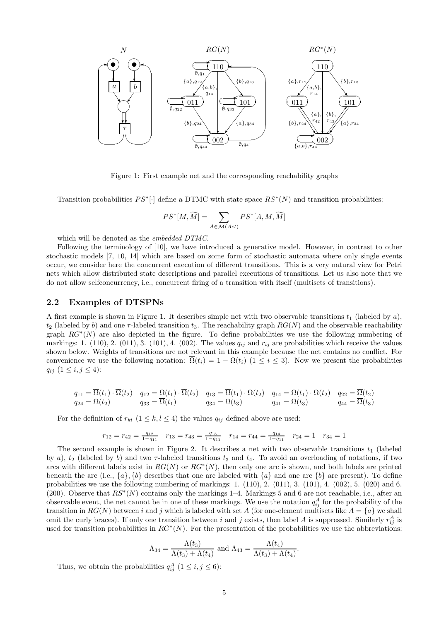

Figure 1: First example net and the corresponding reachability graphs

Transition probabilities  $PS^*[\cdot]$  define a DTMC with state space  $RS^*(N)$  and transition probabilities:

$$
PS^*[M, \widetilde{M}] = \sum_{A \in \mathcal{M}(Act)} PS^*[A, M, \widetilde{M}]
$$

which will be denoted as the embedded DTMC.

Following the terminology of [10], we have introduced a generative model. However, in contrast to other stochastic models [7, 10, 14] which are based on some form of stochastic automata where only single events occur, we consider here the concurrent execution of different transitions. This is a very natural view for Petri nets which allow distributed state descriptions and parallel executions of transitions. Let us also note that we do not allow selfconcurrency, i.e., concurrent firing of a transition with itself (multisets of transitions).

#### 2.2 Examples of DTSPNs

A first example is shown in Figure 1. It describes simple net with two observable transitions  $t_1$  (labeled by a),  $t_2$  (labeled by b) and one  $\tau$ -labeled transition  $t_3$ . The reachability graph  $RG(N)$  and the observable reachability graph  $RG^*(N)$  are also depicted in the figure. To define probabilities we use the following numbering of markings: 1. (110), 2. (011), 3. (101), 4. (002). The values  $q_{ij}$  and  $r_{ij}$  are probabilities which receive the values shown below. Weights of transitions are not relevant in this example because the net contains no conflict. For convenience we use the following notation:  $\overline{\Omega}(t_i) = 1 - \Omega(t_i)$  ( $1 \leq i \leq 3$ ). Now we present the probabilities  $q_{ij}$   $(1 \leq i, j \leq 4)$ :

$$
q_{11} = \overline{\Omega}(t_1) \cdot \overline{\Omega}(t_2) \qquad q_{12} = \Omega(t_1) \cdot \overline{\Omega}(t_2) \qquad q_{13} = \overline{\Omega}(t_1) \cdot \Omega(t_2) \qquad q_{14} = \Omega(t_1) \cdot \Omega(t_2) \qquad q_{22} = \overline{\Omega}(t_2)
$$
  
\n
$$
q_{24} = \Omega(t_2) \qquad q_{33} = \overline{\Omega}(t_1) \qquad q_{34} = \Omega(t_3) \qquad q_{41} = \Omega(t_3) \qquad q_{44} = \overline{\Omega}(t_3)
$$

For the definition of  $r_{kl}$   $(1 \leq k, l \leq 4)$  the values  $q_{ij}$  defined above are used:

$$
r_{12} = r_{42} = \frac{q_{12}}{1 - q_{11}} \quad r_{13} = r_{43} = \frac{q_{13}}{1 - q_{11}} \quad r_{14} = r_{44} = \frac{q_{14}}{1 - q_{11}} \quad r_{24} = 1 \quad r_{34} = 1
$$

The second example is shown in Figure 2. It describes a net with two observable transitions  $t_1$  (labeled by a),  $t_2$  (labeled by b) and two  $\tau$ -labeled transitions  $t_3$  and  $t_4$ . To avoid an overloading of notations, if two arcs with different labels exist in  $RG(N)$  or  $RG^*(N)$ , then only one arc is shown, and both labels are printed beneath the arc (i.e.,  $\{a\}$ ,  $\{b\}$  describes that one arc labeled with  $\{a\}$  and one arc  $\{b\}$  are present). To define probabilities we use the following numbering of markings:  $1. (110), 2. (011), 3. (101), 4. (002), 5. (020)$  and 6. (200). Observe that  $RS^*(N)$  contains only the markings 1–4. Markings 5 and 6 are not reachable, i.e., after an observable event, the net cannot be in one of these markings. We use the notation  $q_{ij}^A$  for the probability of the transition in  $RG(N)$  between i and j which is labeled with set A (for one-element multisets like  $A = \{a\}$  we shall omit the curly braces). If only one transition between i and j exists, then label A is suppressed. Similarly  $r_{ij}^A$  is used for transition probabilities in  $RG^*(N)$ . For the presentation of the probabilities we use the abbreviations:

$$
\Lambda_{34} = \frac{\Lambda(t_3)}{\Lambda(t_3) + \Lambda(t_4)}
$$
 and  $\Lambda_{43} = \frac{\Lambda(t_4)}{\Lambda(t_3) + \Lambda(t_4)}$ 

.

Thus, we obtain the probabilities  $q_{ij}^A$   $(1 \le i, j \le 6)$ :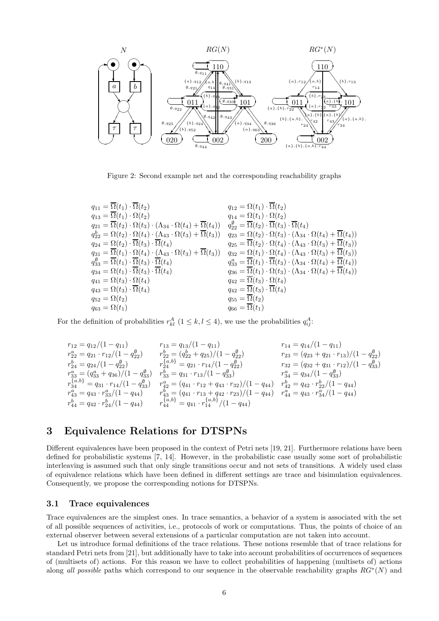

Figure 2: Second example net and the corresponding reachability graphs

| $q_{11} = \overline{\Omega}(t_1) \cdot \overline{\Omega}(t_2)$                                                      | $q_{12} = \Omega(t_1) \cdot \overline{\Omega}(t_2)$                                                                              |
|---------------------------------------------------------------------------------------------------------------------|----------------------------------------------------------------------------------------------------------------------------------|
| $q_{13} = \overline{\Omega}(t_1) \cdot \Omega(t_2)$                                                                 | $q_{14} = \Omega(t_1) \cdot \Omega(t_2)$                                                                                         |
| $q_{21} = \overline{\Omega}(t_2) \cdot \Omega(t_3) \cdot (\Lambda_{34} \cdot \Omega(t_4) + \overline{\Omega}(t_4))$ | $q_{22}^{\emptyset} = \overline{\Omega}(t_2) \cdot \overline{\Omega}(t_3) \cdot \overline{\Omega}(t_4)$                          |
| $q_{22}^b = \Omega(t_2) \cdot \Omega(t_4) \cdot (\Lambda_{43} \cdot \Omega(t_3) + \overline{\Omega}(t_3))$          | $q_{23} = \Omega(t_2) \cdot \Omega(t_3) \cdot (\Lambda_{34} \cdot \Omega(t_4) + \overline{\Omega}(t_4))$                         |
| $q_{24} = \Omega(t_2) \cdot \overline{\Omega}(t_3) \cdot \overline{\Omega}(t_4)$                                    | $q_{25} = \overline{\Omega}(t_2) \cdot \Omega(t_4) \cdot (\Lambda_{43} \cdot \Omega(t_3) + \overline{\Omega}(t_3))$              |
| $q_{31} = \overline{\Omega}(t_1) \cdot \Omega(t_4) \cdot (\Lambda_{43} \cdot \Omega(t_3) + \overline{\Omega}(t_3))$ | $q_{32} = \Omega(t_1) \cdot \Omega(t_4) \cdot (\Lambda_{43} \cdot \Omega(t_3) + \overline{\Omega}(t_3))$                         |
| $q_{33}^{\emptyset} = \overline{\Omega}(t_1) \cdot \overline{\Omega}(t_3) \cdot \overline{\Omega}(t_4)$             | $q_{33}^a = \overline{\Omega}(t_1) \cdot \overline{\Omega}(t_3) \cdot (\Lambda_{34} \cdot \Omega(t_4) + \overline{\Omega}(t_4))$ |
| $q_{34} = \Omega(t_1) \cdot \overline{\Omega}(t_3) \cdot \overline{\Omega}(t_4)$                                    | $q_{36} = \overline{\Omega}(t_1) \cdot \Omega(t_3) \cdot (\Lambda_{34} \cdot \Omega(t_4) + \overline{\Omega}(t_4))$              |
| $q_{41} = \Omega(t_3) \cdot \Omega(t_4)$                                                                            | $q_{42} = \overline{\Omega}(t_3) \cdot \Omega(t_4)$                                                                              |
| $q_{43} = \Omega(t_3) \cdot \overline{\Omega}(t_4)$                                                                 | $q_{42} = \overline{\Omega}(t_3) \cdot \overline{\Omega}(t_4)$                                                                   |
| $q_{52} = \Omega(t_2)$                                                                                              | $q_{55}=\overline{\Omega}(t_2)$                                                                                                  |
| $q_{63} = \Omega(t_1)$                                                                                              | $q_{66} = \overline{\Omega}(t_1)$                                                                                                |

For the definition of probabilities  $r_{kl}^A$   $(1 \leq k, l \leq 4)$ , we use the probabilities  $q_{ij}^A$ :

$$
\begin{array}{lllllllllllll} & r_{12}=q_{12}/(1-q_{11}) & r_{13}=q_{13}/(1-q_{11}) & r_{14}=q_{14}/(1-q_{11}) \\ & r_{22}^a=q_{21}\cdot r_{12}/(1-q_{22}^{\emptyset}) & r_{22}^b=(q_{22}^b+q_{25})/(1-q_{22}^{\emptyset}) & r_{23}=(q_{23}+q_{21}\cdot r_{13})/(1-q_{22}^{\emptyset}) \\ & r_{24}^b=q_{24}/(1-q_{22}^{\emptyset}) & r_{24}^{\{a,b\}}=q_{21}\cdot r_{14}/(1-q_{22}^{\emptyset}) & r_{32}^a=(q_{32}+q_{31}\cdot r_{12})/(1-q_{33}^{\emptyset}) \\ & r_{33}^a=(q_{33}^a+q_{36})/(1-q_{33}^{\emptyset}) & r_{33}^b=q_{31}\cdot r_{13}/(1-q_{33}^{\emptyset}) & r_{34}^a=q_{34}/(1-q_{33}^{\emptyset}) \\ & r_{43}^{\{a,b\}}=q_{31}\cdot r_{14}/(1-q_{33}^{\emptyset}) & r_{42}^a=(q_{41}\cdot r_{12}+q_{43}\cdot r_{32})/(1-q_{44}) & r_{42}^b=q_{42}\cdot r_{22}^b/(1-q_{44}) \\ & r_{43}^a=q_{43}\cdot r_{33}^a/(1-q_{44}) & r_{43}^b=(q_{41}\cdot r_{13}+q_{42}\cdot r_{23})/(1-q_{44}) & r_{44}^a=q_{43}\cdot r_{34}^a/(1-q_{44}) \\ & r_{44}^b=q_{42}\cdot r_{24}^b/(1-q_{44}) & r_{44}^{\{a,b\}}=q_{41}\cdot r_{14}^{\{a,b\}}/(1-q_{44}) & r_{44}^a=q_{43}\cdot r_{34}^a/(1-q_{44}) \end{array}
$$

## 3 Equivalence Relations for DTSPNs

Different equivalences have been proposed in the context of Petri nets [19, 21]. Furthermore relations have been defined for probabilistic systems [7, 14]. However, in the probabilistic case usually some sort of probabilistic interleaving is assumed such that only single transitions occur and not sets of transitions. A widely used class of equivalence relations which have been defined in different settings are trace and bisimulation equivalences. Consequently, we propose the corresponding notions for DTSPNs.

#### 3.1 Trace equivalences

Trace equivalences are the simplest ones. In trace semantics, a behavior of a system is associated with the set of all possible sequences of activities, i.e., protocols of work or computations. Thus, the points of choice of an external observer between several extensions of a particular computation are not taken into account.

Let us introduce formal definitions of the trace relations. These notions resemble that of trace relations for standard Petri nets from [21], but additionally have to take into account probabilities of occurrences of sequences of (multisets of) actions. For this reason we have to collect probabilities of happening (multisets of) actions along all possible paths which correspond to our sequence in the observable reachability graphs  $RG^*(N)$  and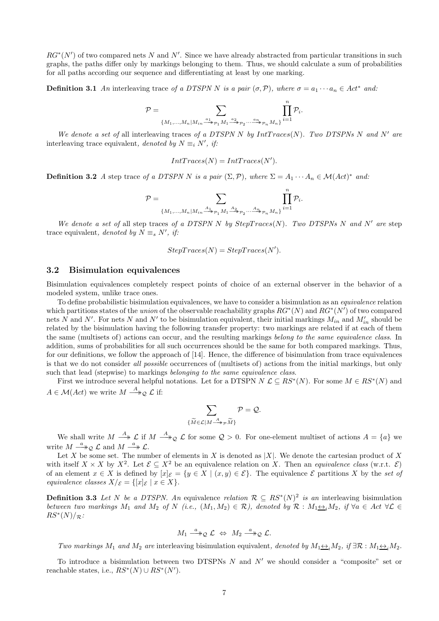$RG^*(N')$  of two compared nets N and N'. Since we have already abstracted from particular transitions in such graphs, the paths differ only by markings belonging to them. Thus, we should calculate a sum of probabilities for all paths according our sequence and differentiating at least by one marking.

**Definition 3.1** An interleaving trace of a DTSPN N is a pair  $(\sigma, \mathcal{P})$ , where  $\sigma = a_1 \cdots a_n \in Act^*$  and:

$$
\mathcal{P} = \sum_{\{M_1,\ldots,M_n \mid M_{in} \xrightarrow{a_1} p_1 M_1 \xrightarrow{a_2} p_2 \ldots \xrightarrow{a_n} p_n M_n\}} \prod_{i=1}^n \mathcal{P}_i
$$

.

We denote a set of all interleaving traces of a DTSPN N by  $IntTrace(N)$ . Two DTSPNs N and N' are interleaving trace equivalent, denoted by  $N \equiv_i N'$ , if:

$$
IntTraces(N) = IntTraces(N').
$$

**Definition 3.2** A step trace of a DTSPN N is a pair  $(\Sigma, \mathcal{P})$ , where  $\Sigma = A_1 \cdots A_n \in \mathcal{M}(Act)^*$  and:

$$
\mathcal{P}=\sum_{\{M_1,\ldots,M_n|M_{in}\overset{A_1}{\longrightarrow}\mathcal{P}_1M_1\overset{A_2}{\longrightarrow}\mathcal{P}_2\cdots\overset{A_n}{\longrightarrow}\mathcal{P}_nM_n\}}\prod_{i=1}^n\mathcal{P}_i.
$$

We denote a set of all step traces of a DTSPN N by  $StepTrace(N)$ . Two DTSPNs N and N' are step trace equivalent, denoted by  $N \equiv_s N'$ , if:

$$
StepTrace(N) = StepTrace(N').
$$

#### 3.2 Bisimulation equivalences

Bisimulation equivalences completely respect points of choice of an external observer in the behavior of a modeled system, unlike trace ones.

To define probabilistic bisimulation equivalences, we have to consider a bisimulation as an equivalence relation which partitions states of the union of the observable reachability graphs  $RG^*(N)$  and  $RG^*(N')$  of two compared nets N and N'. For nets N and N' to be bisimulation equivalent, their initial markings  $M_{in}$  and  $M'_{in}$  should be related by the bisimulation having the following transfer property: two markings are related if at each of them the same (multisets of) actions can occur, and the resulting markings belong to the same equivalence class. In addition, sums of probabilities for all such occurrences should be the same for both compared markings. Thus, for our definitions, we follow the approach of [14]. Hence, the difference of bisimulation from trace equivalences is that we do not consider all possible occurrences of (multisets of) actions from the initial markings, but only such that lead (stepwise) to markings belonging to the same equivalence class.

First we introduce several helpful notations. Let for a DTSPN  $N \mathcal{L} \subseteq RS^*(N)$ . For some  $M \in RS^*(N)$  and  $A \in \mathcal{M}(Act)$  we write  $M \stackrel{A}{\longrightarrow} _{\mathcal{Q}} \mathcal{L}$  if:

$$
\sum_{\{\widetilde{M}\in {\cal L}| M \stackrel{A}{\longrightarrow} \mathcal{P} \, \widetilde{M}\}}{\mathcal{P}} = {\mathcal{Q}}.
$$

We shall write  $M \stackrel{A}{\longrightarrow} \mathcal{L}$  if  $M \stackrel{A}{\longrightarrow} \mathcal{Q} \mathcal{L}$  for some  $\mathcal{Q} > 0$ . For one-element multiset of actions  $A = \{a\}$  we write  $M \stackrel{a}{\longrightarrow} _{\mathcal{Q}} \mathcal{L}$  and  $M \stackrel{a}{\longrightarrow} \mathcal{L}$ .

Let X be some set. The number of elements in X is denoted as |X|. We denote the cartesian product of X with itself  $X \times X$  by  $X^2$ . Let  $\mathcal{E} \subseteq X^2$  be an equivalence relation on X. Then an equivalence class (w.r.t.  $\mathcal{E}$ ) of an element  $x \in X$  is defined by  $[x]_\mathcal{E} = \{y \in X \mid (x, y) \in \mathcal{E}\}\.$  The equivalence  $\mathcal{E}$  partitions X by the set of equivalence classes  $X/\varepsilon = \{ [x]_{\varepsilon} \mid x \in X \}.$ 

**Definition 3.3** Let N be a DTSPN. An equivalence relation  $\mathcal{R} \subseteq RS^*(N)^2$  is an interleaving bisimulation between two markings  $M_1$  and  $M_2$  of N (i.e.,  $(M_1, M_2) \in \mathcal{R}$ ), denoted by  $\mathcal{R}: M_1 \leftrightarrow M_2$ , if  $\forall a \in \mathcal{A}$   $\forall \mathcal{L} \in$  $RS^*(N)/_{\mathcal{R}}$ :

$$
M_1 \stackrel{a}{\longrightarrow}_\mathcal{Q} \mathcal{L} \Leftrightarrow M_2 \stackrel{a}{\longrightarrow}_\mathcal{Q} \mathcal{L}.
$$

Two markings  $M_1$  and  $M_2$  are interleaving bisimulation equivalent, denoted by  $M_1 \leftrightarrow M_2$ , if  $\exists \mathcal{R} : M_1 \leftrightarrow M_2$ .

To introduce a bisimulation between two DTSPNs  $N$  and  $N'$  we should consider a "composite" set or reachable states, i.e.,  $RS^*(N) \cup RS^*(N')$ .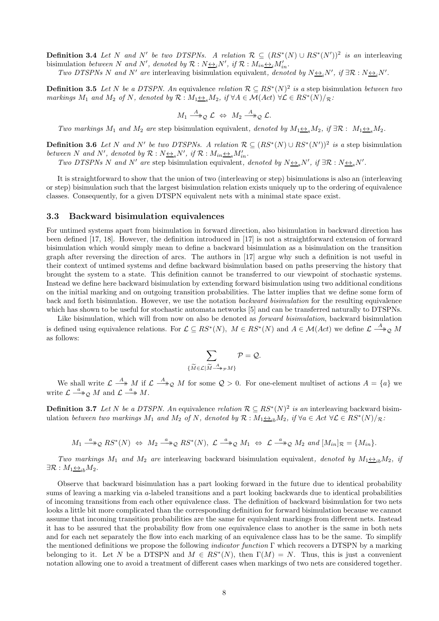**Definition 3.4** Let N and N' be two DTSPNs. A relation  $\mathcal{R} \subseteq (RS^*(N) \cup RS^*(N'))^2$  is an interleaving bisimulation between N and N', denoted by  $\mathcal{R}: N \rightarrow N'$ , if  $\mathcal{R}: M_{in} \rightarrow N'_{in}$ .

Two DTSPNs N and N' are interleaving bisimulation equivalent, denoted by  $N \leftrightarrow N'$ , if  $\exists \mathcal{R} : N \leftrightarrow N'$ .

**Definition 3.5** Let N be a DTSPN. An equivalence relation  $\mathcal{R} \subseteq RS^*(N)^2$  is a step bisimulation between two markings  $M_1$  and  $M_2$  of N, denoted by  $\mathcal{R}: M_1 \underline{\leftrightarrow}_s M_2$ , if  $\forall A \in \mathcal{M}(Act) \ \forall \mathcal{L} \in RS^*(N)/_{\mathcal{R}}$ :

$$
M_1 \stackrel{A}{\longrightarrow}_\mathcal{Q} \mathcal{L} \Leftrightarrow M_2 \stackrel{A}{\longrightarrow}_\mathcal{Q} \mathcal{L}.
$$

Two markings  $M_1$  and  $M_2$  are step bisimulation equivalent, denoted by  $M_1 \leftrightarrow_{\mathcal{S}} M_2$ , if  $\exists \mathcal{R}: M_1 \leftrightarrow_{\mathcal{S}} M_2$ .

**Definition 3.6** Let N and N' be two DTSPNs. A relation  $\mathcal{R} \subseteq (RS^*(N) \cup RS^*(N'))^2$  is a step bisimulation between N and N', denoted by  $\mathcal{R}: N_{\frac{\leftrightarrow s}{s}}N'$ , if  $\mathcal{R}: M_{in} \rightarrow_{s} M'_{in}$ .

Two DTSPNs N and N' are step bisimulation equivalent, denoted by  $N \leftrightarrow_{s} N'$ , if  $\exists \mathcal{R} : N \leftrightarrow_{s} N'$ .

It is straightforward to show that the union of two (interleaving or step) bisimulations is also an (interleaving or step) bisimulation such that the largest bisimulation relation exists uniquely up to the ordering of equivalence classes. Consequently, for a given DTSPN equivalent nets with a minimal state space exist.

#### 3.3 Backward bisimulation equivalences

For untimed systems apart from bisimulation in forward direction, also bisimulation in backward direction has been defined [17, 18]. However, the definition introduced in [17] is not a straightforward extension of forward bisimulation which would simply mean to define a backward bisimulation as a bisimulation on the transition graph after reversing the direction of arcs. The authors in [17] argue why such a definition is not useful in their context of untimed systems and define backward bisimulation based on paths preserving the history that brought the system to a state. This definition cannot be transferred to our viewpoint of stochastic systems. Instead we define here backward bisimulation by extending forward bisimulation using two additional conditions on the initial marking and on outgoing transition probabilities. The latter implies that we define some form of back and forth bisimulation. However, we use the notation backward bisimulation for the resulting equivalence which has shown to be useful for stochastic automata networks [5] and can be transferred naturally to DTSPNs.

Like bisimulation, which will from now on also be denoted as *forward bisimulation*, backward bisimulation is defined using equivalence relations. For  $\mathcal{L} \subseteq RS^*(N)$ ,  $M \in RS^*(N)$  and  $A \in \mathcal{M}(Act)$  we define  $\mathcal{L} \stackrel{A}{\longrightarrow}_{\mathcal{Q}} M$ as follows:

$$
\sum_{\{\widetilde{M}\in\mathcal{L}|\widetilde{M}\xrightarrow{A}_{\mathcal{P}}M\}}\mathcal{P}=\mathcal{Q}.
$$

We shall write  $\mathcal{L} \stackrel{A}{\longrightarrow} M$  if  $\mathcal{L} \stackrel{A}{\longrightarrow}_\mathcal{Q} M$  for some  $\mathcal{Q} > 0$ . For one-element multiset of actions  $A = \{a\}$  we write  $\mathcal{L} \stackrel{a}{\longrightarrow} Q M$  and  $\mathcal{L} \stackrel{a}{\longrightarrow} M$ .

**Definition 3.7** Let N be a DTSPN. An equivalence relation  $\mathcal{R} \subseteq RS^*(N)^2$  is an interleaving backward bisimulation between two markings  $M_1$  and  $M_2$  of N, denoted by  $\mathcal{R}: M_1 \underline{\leftrightarrow}_{ib} M_2$ , if  $\forall a \in Act \ \forall \mathcal{L} \in RS^*(N)/_{\mathcal{R}}$ :

$$
M_1 \xrightarrow{a} \mathfrak{D} R S^*(N) \Leftrightarrow M_2 \xrightarrow{a} \mathfrak{D} R S^*(N), \ \mathcal{L} \xrightarrow{a} \mathfrak{D} M_1 \Leftrightarrow \mathcal{L} \xrightarrow{a} \mathfrak{D} M_2 \ \text{and} \ [M_{in}]_{\mathcal{R}} = \{M_{in}\}.
$$

Two markings  $M_1$  and  $M_2$  are interleaving backward bisimulation equivalent, denoted by  $M_1 \leftrightarrow_{ib} M_2$ , if  $\exists \mathcal{R}: M_1 \leftrightarrow_{ih} M_2.$ 

Observe that backward bisimulation has a part looking forward in the future due to identical probability sums of leaving a marking via a-labeled transitions and a part looking backwards due to identical probabilities of incoming transitions from each other equivalence class. The definition of backward bisimulation for two nets looks a little bit more complicated than the corresponding definition for forward bisimulation because we cannot assume that incoming transition probabilities are the same for equivalent markings from different nets. Instead it has to be assured that the probability flow from one equivalence class to another is the same in both nets and for each net separately the flow into each marking of an equivalence class has to be the same. To simplify the mentioned definitions we propose the following *indicator function*  $\Gamma$  which recovers a DTSPN by a marking belonging to it. Let N be a DTSPN and  $M \in RS^*(N)$ , then  $\Gamma(M) = N$ . Thus, this is just a convenient notation allowing one to avoid a treatment of different cases when markings of two nets are considered together.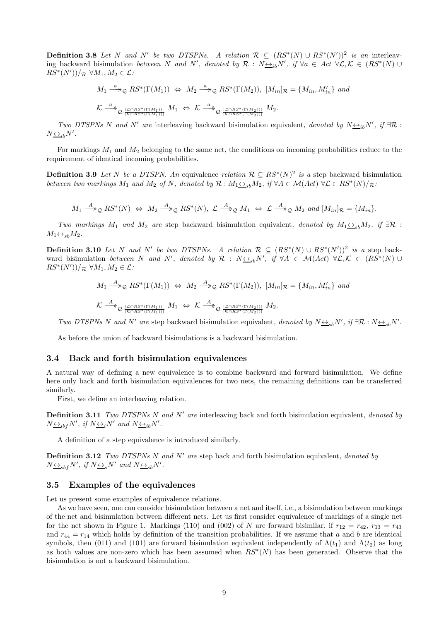**Definition 3.8** Let N and N' be two DTSPNs. A relation  $\mathcal{R} \subseteq (RS^*(N) \cup RS^*(N'))^2$  is an interleaving backward bisimulation between N and N', denoted by  $\mathcal{R}: N_{\frac{\leftrightarrow}{\pm}i\infty}N'$ , if  $\forall a \in \text{Act } \forall \mathcal{L}, \mathcal{K} \in (RS^*(N) \cup$  $RS^*(N'))/R \ \forall M_1, M_2 \in \mathcal{L}$ :

$$
M_1 \xrightarrow{a} \mathcal{Q} RS^*(\Gamma(M_1)) \Leftrightarrow M_2 \xrightarrow{a} \mathcal{Q} RS^*(\Gamma(M_2)), [M_{in}]_{\mathcal{R}} = \{M_{in}, M'_{in}\} and
$$
  

$$
\mathcal{K} \xrightarrow{a} \mathcal{Q} \xrightarrow{|\mathcal{L} \cap RS^*(\Gamma(M_1))|} M_1 \Leftrightarrow \mathcal{K} \xrightarrow{a} \mathcal{Q} \xrightarrow{|\mathcal{L} \cap RS^*(\Gamma(M_2))|} M_2.
$$

Two DTSPNs N and N' are interleaving backward bisimulation equivalent, denoted by  $N \leftrightarrow_{ib} N'$ , if  $\exists \mathcal{R}$ :  $N \underline{\leftrightarrow}_{ib} N'$ .

For markings  $M_1$  and  $M_2$  belonging to the same net, the conditions on incoming probabilities reduce to the requirement of identical incoming probabilities.

**Definition 3.9** Let N be a DTSPN. An equivalence relation  $\mathcal{R} \subseteq RS^*(N)^2$  is a step backward bisimulation between two markings  $M_1$  and  $M_2$  of N, denoted by  $\mathcal{R}: M_1 \rightarrow B_8 M_2$ , if  $\forall A \in \mathcal{M}(Act)$   $\forall \mathcal{L} \in RS^*(N)/_{\mathcal{R}}$ :

$$
M_1 \xrightarrow{A} \mathfrak{D} RS^*(N) \Leftrightarrow M_2 \xrightarrow{A} \mathfrak{D} RS^*(N), \mathcal{L} \xrightarrow{A} \mathfrak{D} M_1 \Leftrightarrow \mathcal{L} \xrightarrow{A} \mathfrak{D} M_2 \text{ and } [M_{in}]_{\mathcal{R}} = \{M_{in}\}.
$$

Two markings M<sub>1</sub> and M<sub>2</sub> are step backward bisimulation equivalent, denoted by  $M_1 \underline{\leftrightarrow}_s M_2$ , if  $\exists \mathcal{R}$ :  $M_1 \leftrightarrow_{sh} M_2$ .

**Definition 3.10** Let N and N' be two DTSPNs. A relation  $\mathcal{R} \subseteq (RS^*(N) \cup RS^*(N'))^2$  is a step backward bisimulation between N and N', denoted by  $\mathcal{R}$  :  $N_{\frac{\leftrightarrow}{\infty}S}N'$ , if  $\forall A \in \mathcal{M}(Act)$   $\forall \mathcal{L}, \mathcal{K} \in (RS^*(N) \cup$  $RS^*(N'))/R \ \forall M_1, M_2 \in \mathcal{L}$ :

$$
M_1 \xrightarrow{A} \mathcal{Q} RS^*(\Gamma(M_1)) \Leftrightarrow M_2 \xrightarrow{A} \mathcal{Q} RS^*(\Gamma(M_2)), [M_{in}]_{\mathcal{R}} = \{M_{in}, M'_{in}\} \text{ and}
$$
  

$$
\mathcal{K} \xrightarrow{A} \mathcal{Q} \xrightarrow{\{C \cap RS^*(\Gamma(M_1))\}} M_1 \Leftrightarrow \mathcal{K} \xrightarrow{A} \mathcal{Q} \xrightarrow{\{C \cap RS^*(\Gamma(M_2))\}} M_2.
$$

Two DTSPNs N and N' are step backward bisimulation equivalent, denoted by  $N \leftrightarrow s b N'$ , if  $\exists \mathcal{R}: N \leftrightarrow s b N'$ .

As before the union of backward bisimulations is a backward bisimulation.

#### 3.4 Back and forth bisimulation equivalences

A natural way of defining a new equivalence is to combine backward and forward bisimulation. We define here only back and forth bisimulation equivalences for two nets, the remaining definitions can be transferred similarly.

First, we define an interleaving relation.

**Definition 3.11** Two DTSPNs N and N' are interleaving back and forth bisimulation equivalent, denoted by  $N_{\frac{\leftrightarrow_{ibf}}{N}}N'$ , if  $N_{\frac{\leftrightarrow_{i}}{N}}N'$  and  $N_{\frac{\leftrightarrow_{ib}}{N}}N'$ .

A definition of a step equivalence is introduced similarly.

**Definition 3.12** Two DTSPNs N and N' are step back and forth bisimulation equivalent, denoted by  $N_{\frac{\leftrightarrow}{\infty}S}N'$ , if  $N_{\frac{\leftrightarrow}{\infty}S}N'$  and  $N_{\frac{\leftrightarrow}{\infty}S}N'$ .

#### 3.5 Examples of the equivalences

Let us present some examples of equivalence relations.

As we have seen, one can consider bisimulation between a net and itself, i.e., a bisimulation between markings of the net and bisimulation between different nets. Let us first consider equivalence of markings of a single net for the net shown in Figure 1. Markings (110) and (002) of N are forward bisimilar, if  $r_{12} = r_{42}$ ,  $r_{13} = r_{43}$ and  $r_{44} = r_{14}$  which holds by definition of the transition probabilities. If we assume that a and b are identical symbols, then (011) and (101) are forward bisimulation equivalent independently of  $\Lambda(t_1)$  and  $\Lambda(t_2)$  as long as both values are non-zero which has been assumed when  $RS^*(N)$  has been generated. Observe that the bisimulation is not a backward bisimulation.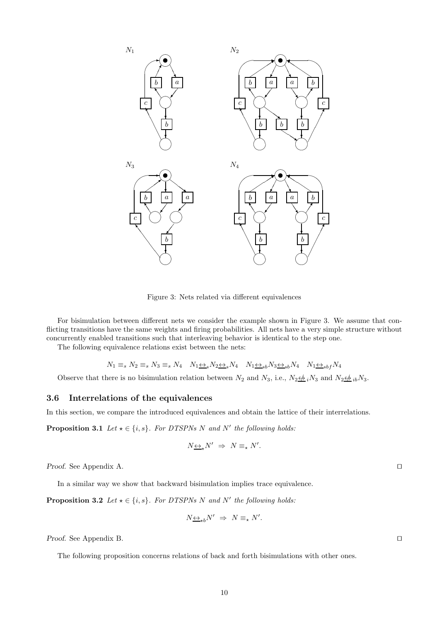

Figure 3: Nets related via different equivalences

For bisimulation between different nets we consider the example shown in Figure 3. We assume that conflicting transitions have the same weights and firing probabilities. All nets have a very simple structure without concurrently enabled transitions such that interleaving behavior is identical to the step one.

The following equivalence relations exist between the nets:

$$
N_1 \equiv_s N_2 \equiv_s N_3 \equiv_s N_4 \quad N_1 \leftrightarrow_s N_2 \leftrightarrow_s N_4 \quad N_1 \leftrightarrow_{sb} N_3 \leftrightarrow_{sb} N_4 \quad N_1 \leftrightarrow_{sbf} N_4
$$

Observe that there is no bisimulation relation between  $N_2$  and  $N_3$ , i.e.,  $N_2 \not\leftrightarrow_i N_3$  and  $N_2 \not\leftrightarrow_i N_3$ .

#### 3.6 Interrelations of the equivalences

In this section, we compare the introduced equivalences and obtain the lattice of their interrelations.

**Proposition 3.1** Let  $\star \in \{i, s\}$ . For DTSPNs N and N' the following holds:

$$
N\underline{\leftrightarrow}_\star N' \ \Rightarrow \ N\equiv_\star N'.
$$

Proof. See Appendix A. □

In a similar way we show that backward bisimulation implies trace equivalence.

**Proposition 3.2** Let  $\star \in \{i, s\}$ . For DTSPNs N and N' the following holds:

$$
N\underline{\leftrightarrow}_{\star b}N' \;\Rightarrow\; N\equiv_{\star}N'.
$$

Proof. See Appendix B. □

The following proposition concerns relations of back and forth bisimulations with other ones.

10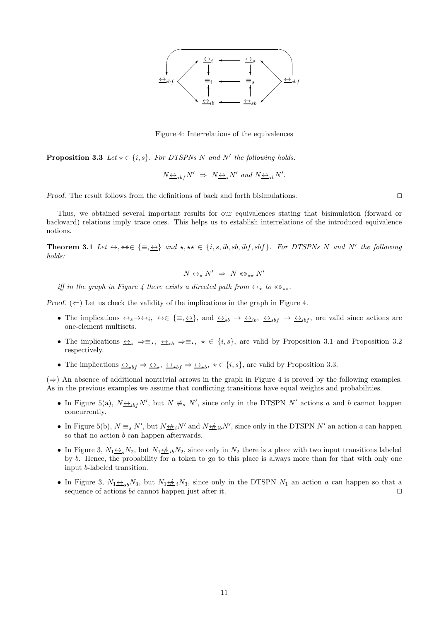

Figure 4: Interrelations of the equivalences

**Proposition 3.3** Let  $\star \in \{i, s\}$ . For DTSPNs N and N' the following holds:

$$
N \leftrightarrow_{\star b f} N' \Rightarrow N \leftrightarrow_{\star} N'
$$
 and  $N \leftrightarrow_{\star b} N'$ .

Proof. The result follows from the definitions of back and forth bisimulations. □

Thus, we obtained several important results for our equivalences stating that bisimulation (forward or backward) relations imply trace ones. This helps us to establish interrelations of the introduced equivalence notions.

**Theorem 3.1** Let  $\leftrightarrow$ ,  $\ast\ast \in \{\equiv, \leftrightarrow\}$  and  $\star$ ,  $\star\star \in \{i, s, ib, sb, ibf, sbf\}$ . For DTSPNs N and N' the following holds:

$$
N \leftrightarrow_{\star} N' \Rightarrow N \leftrightarrow_{\star\star} N'
$$

iff in the graph in Figure 4 there exists a directed path from  $\leftrightarrow_{\star}$  to  $\leftrightarrow_{\star\star}$ .

Proof.  $(\Leftarrow)$  Let us check the validity of the implications in the graph in Figure 4.

- The implications  $\leftrightarrow_s \to \leftrightarrow_i$ ,  $\leftrightarrow \in \{\equiv, \underline{\leftrightarrow}\}$ , and  $\underline{\leftrightarrow}_{sb} \to \underline{\leftrightarrow}_{ib}$ ,  $\underline{\leftrightarrow}_{sbf} \to \underline{\leftrightarrow}_{ibf}$ , are valid since actions are one-element multisets.
- The implications  $\leftrightarrow$ <sub>\*</sub>  $\Rightarrow \equiv_{\star}$ ,  $\leftrightarrow \equiv_{\star}$ ,  $\star \in \{i, s\}$ , are valid by Proposition 3.1 and Proposition 3.2 respectively.
- The implications  $\leftrightarrow_{*bf} \Rightarrow \leftrightarrow_{*b} \leftrightarrow_{*bf} \Rightarrow \leftrightarrow_{*b}$ ,  $\star \in \{i, s\}$ , are valid by Proposition 3.3.

 $(\Rightarrow)$  An absence of additional nontrivial arrows in the graph in Figure 4 is proved by the following examples. As in the previous examples we assume that conflicting transitions have equal weights and probabilities.

- In Figure 5(a),  $N \leftrightarrow_{if} N'$ , but  $N \neq_{s} N'$ , since only in the DTSPN N' actions a and b cannot happen concurrently.
- In Figure 5(b),  $N \equiv_s N'$ , but  $N \not\Longrightarrow_i N'$  and  $N \not\Longrightarrow_i N'$ , since only in the DTSPN N' an action a can happen so that no action *b* can happen afterwards.
- In Figure 3,  $N_1 \leftrightarrow N_2$ , but  $N_1 \leftrightarrow N_2$ , since only in  $N_2$  there is a place with two input transitions labeled by b. Hence, the probability for a token to go to this place is always more than for that with only one input b-labeled transition.
- In Figure 3,  $N_1 \leftrightarrow_{sb} N_3$ , but  $N_1 \leftrightarrow_{sb} N_3$ , since only in the DTSPN  $N_1$  an action a can happen so that a sequence of actions bc cannot happen just after it. □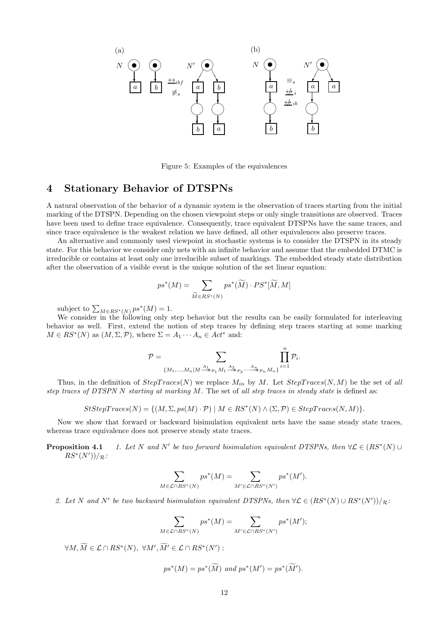

Figure 5: Examples of the equivalences

## 4 Stationary Behavior of DTSPNs

A natural observation of the behavior of a dynamic system is the observation of traces starting from the initial marking of the DTSPN. Depending on the chosen viewpoint steps or only single transitions are observed. Traces have been used to define trace equivalence. Consequently, trace equivalent DTSPNs have the same traces, and since trace equivalence is the weakest relation we have defined, all other equivalences also preserve traces.

An alternative and commonly used viewpoint in stochastic systems is to consider the DTSPN in its steady state. For this behavior we consider only nets with an infinite behavior and assume that the embedded DTMC is irreducible or contains at least only one irreducible subset of markings. The embedded steady state distribution after the observation of a visible event is the unique solution of the set linear equation:

$$
ps^*(M) = \sum_{\widetilde{M} \in RS^*(N)} ps^*(\widetilde{M}) \cdot PS^*[\widetilde{M}, M]
$$

subject to  $\sum_{M \in RS^*(N)} ps^*(M) = 1$ .

We consider in the following only step behavior but the results can be easily formulated for interleaving behavior as well. First, extend the notion of step traces by defining step traces starting at some marking  $M \in RS^*(N)$  as  $(M, \Sigma, \mathcal{P})$ , where  $\Sigma = A_1 \cdots A_n \in Act^*$  and:

$$
\mathcal{P} = \sum_{\{M_1,\ldots,M_n | M \stackrel{A_1}{\longrightarrow} \mathcal{P}_1 M_1 \stackrel{A_2}{\longrightarrow} \mathcal{P}_2 \cdots \stackrel{A_n}{\longrightarrow} \mathcal{P}_n M_n\}} \prod_{i=1}^n \mathcal{P}_i.
$$

Thus, in the definition of  $StepTrace(N)$  we replace  $M_{in}$  by M. Let  $StepTrace(N, M)$  be the set of all step traces of DTSPN N starting at marking  $M$ . The set of all step traces in steady state is defined as:

$$
StStepTrace(N) = \{ (M, \Sigma, ps(M) \cdot \mathcal{P}) \mid M \in RS^*(N) \land (\Sigma, \mathcal{P}) \in StepTrace(N, M) \}.
$$

Now we show that forward or backward bisimulation equivalent nets have the same steady state traces, whereas trace equivalence does not preserve steady state traces.

Proposition 4.1 be two forward bisimulation equivalent DTSPNs, then  $\forall \mathcal{L} \in (RS^*(N) \cup$  $RS^*(N'))/\mathcal{R}$ :

$$
\sum_{M \in \mathcal{L} \cap RS^*(N)} ps^*(M) = \sum_{M' \in \mathcal{L} \cap RS^*(N')} ps^*(M').
$$

2. Let N and N' be two backward bisimulation equivalent DTSPNs, then  $\forall \mathcal{L} \in (RS^*(N) \cup RS^*(N'))/\mathcal{R}$ :

$$
\sum_{M \in \mathcal{L} \cap RS^*(N)} ps^*(M) = \sum_{M' \in \mathcal{L} \cap RS^*(N')} ps^*(M');
$$

 $\forall M, \overline{M} \in \mathcal{L} \cap RS^*(N), \ \forall M', \overline{M'} \in \mathcal{L} \cap RS^*(N')$ :

$$
ps^*(M) = ps^*(\widetilde{M}) \text{ and } ps^*(M') = ps^*(\widetilde{M}').
$$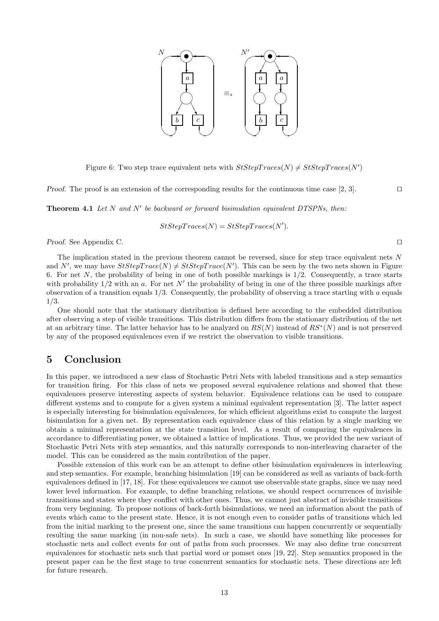

Figure 6: Two step trace equivalent nets with  $StStepTrace(N) \neq StStepTrace(N')$ 

Proof. The proof is an extension of the corresponding results for the continuous time case [2, 3]. □

**Theorem 4.1** Let  $N$  and  $N'$  be backward or forward bisimulation equivalent DTSPNs, then:

$$
StStepTraces(N) = StStepTraces(N').
$$

Proof. See Appendix C. □

The implication stated in the previous theorem cannot be reversed, since for step trace equivalent nets N and N', we may have  $StStepTrace(N) \neq StStepTrace(N')$ . This can be seen by the two nets shown in Figure 6. For net N, the probability of being in one of both possible markings is  $1/2$ . Consequently, a trace starts with probability  $1/2$  with an a. For net N' the probability of being in one of the three possible markings after observation of a transition equals  $1/3$ . Consequently, the probability of observing a trace starting with a equals 1/3.

One should note that the stationary distribution is defined here according to the embedded distribution after observing a step of visible transitions. This distribution differs from the stationary distribution of the net at an arbitrary time. The latter behavior has to be analyzed on  $RS(N)$  instead of  $RS^*(N)$  and is not preserved by any of the proposed equivalences even if we restrict the observation to visible transitions.

## 5 Conclusion

In this paper, we introduced a new class of Stochastic Petri Nets with labeled transitions and a step semantics for transition firing. For this class of nets we proposed several equivalence relations and showed that these equivalences preserve interesting aspects of system behavior. Equivalence relations can be used to compare different systems and to compute for a given system a minimal equivalent representation [3]. The latter aspect is especially interesting for bisimulation equivalences, for which efficient algorithms exist to compute the largest bisimulation for a given net. By representation each equivalence class of this relation by a single marking we obtain a minimal representation at the state transition level. As a result of comparing the equivalences in accordance to differentiating power, we obtained a lattice of implications. Thus, we provided the new variant of Stochastic Petri Nets with step semantics, and this naturally corresponds to non-interleaving character of the model. This can be considered as the main contribution of the paper.

Possible extension of this work can be an attempt to define other bisimulation equivalences in interleaving and step semantics. For example, branching bisimulation [19] can be considered as well as variants of back-forth equivalences defined in [17, 18]. For these equivalences we cannot use observable state graphs, since we may need lower level information. For example, to define branching relations, we should respect occurrences of invisible transitions and states where they conflict with other ones. Thus, we cannot just abstract of invisible transitions from very beginning. To propose notions of back-forth bisimulations, we need an information about the path of events which came to the present state. Hence, it is not enough even to consider paths of transitions which led from the initial marking to the present one, since the same transitions can happen concurrently or sequentially resulting the same marking (in non-safe nets). In such a case, we should have something like processes for stochastic nets and collect events for out of paths from such processes. We may also define true concurrent equivalences for stochastic nets such that partial word or pomset ones [19, 22]. Step semantics proposed in the present paper can be the first stage to true concurrent semantics for stochastic nets. These directions are left for future research.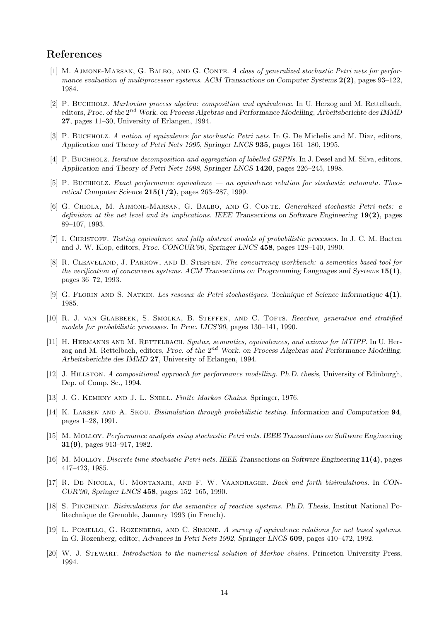## References

- [1] M. AJMONE-MARSAN, G. BALBO, AND G. CONTE. A class of generalized stochastic Petri nets for performance evaluation of multiprocessor systems. ACM Transactions on Computer Systems  $2(2)$ , pages  $93-122$ , 1984.
- [2] P. Buchholz. Markovian process algebra: composition and equivalence. In U. Herzog and M. Rettelbach, editors, Proc. of the 2<sup>nd</sup> Work. on Process Algebras and Performance Modelling, Arbeitsberichte des IMMD 27, pages 11–30, University of Erlangen, 1994.
- [3] P. BUCHHOLZ. A notion of equivalence for stochastic Petri nets. In G. De Michelis and M. Diaz, editors, Application and Theory of Petri Nets 1995, Springer LNCS 935, pages 161–180, 1995.
- [4] P. BUCHHOLZ. Iterative decomposition and aggregation of labelled GSPNs. In J. Desel and M. Silva, editors, Application and Theory of Petri Nets 1998, Springer LNCS 1420, pages 226–245, 1998.
- [5] P. Buchholz. Exact performance equivalence an equivalence relation for stochastic automata. Theoretical Computer Science  $215(1/2)$ , pages 263–287, 1999.
- [6] G. Chiola, M. Ajmone-Marsan, G. Balbo, and G. Conte. Generalized stochastic Petri nets: a definition at the net level and its implications. IEEE Transactions on Software Engineering 19(2), pages 89–107, 1993.
- [7] I. CHRISTOFF. Testing equivalence and fully abstract models of probabilistic processes. In J. C. M. Baeten and J. W. Klop, editors, Proc. CONCUR'90, Springer LNCS 458, pages 128–140, 1990.
- [8] R. CLEAVELAND, J. PARROW, AND B. STEFFEN. The concurrency workbench: a semantics based tool for the verification of concurrent systems. ACM Transactions on Programming Languages and Systems  $15(1)$ , pages 36–72, 1993.
- [9] G. Florin and S. Natkin. Les reseaux de Petri stochastiques. Technique et Science Informatique 4(1), 1985.
- [10] R. J. VAN GLABBEEK, S. SMOLKA, B. STEFFEN, AND C. TOFTS. Reactive, generative and stratified models for probabilistic processes. In Proc. LICS'90, pages 130–141, 1990.
- [11] H. HERMANNS AND M. RETTELBACH. Syntax, semantics, equivalences, and axioms for MTIPP. In U. Herzog and M. Rettelbach, editors, Proc. of the 2<sup>nd</sup> Work. on Process Algebras and Performance Modelling. Arbeitsberichte des IMMD 27, University of Erlangen, 1994.
- [12] J. Hillston. A compositional approach for performance modelling. Ph.D. thesis, University of Edinburgh, Dep. of Comp. Sc., 1994.
- [13] J. G. KEMENY AND J. L. SNELL. Finite Markov Chains. Springer, 1976.
- [14] K. LARSEN AND A. SKOU. Bisimulation through probabilistic testing. Information and Computation 94, pages 1–28, 1991.
- [15] M. Molloy. Performance analysis using stochastic Petri nets. IEEE Transactions on Software Engineering 31(9), pages 913–917, 1982.
- [16] M. Molloy. Discrete time stochastic Petri nets. IEEE Transactions on Software Engineering 11(4), pages 417–423, 1985.
- [17] R. De Nicola, U. Montanari, and F. W. Vaandrager. Back and forth bisimulations. In CON-CUR'90, Springer LNCS 458, pages 152–165, 1990.
- [18] S. Pinchinat. Bisimulations for the semantics of reactive systems. Ph.D. Thesis, Institut National Politechnique de Grenoble, January 1993 (in French).
- [19] L. Pomello, G. Rozenberg, and C. Simone. A survey of equivalence relations for net based systems. In G. Rozenberg, editor, Advances in Petri Nets 1992, Springer LNCS 609, pages 410–472, 1992.
- [20] W. J. STEWART. Introduction to the numerical solution of Markov chains. Princeton University Press, 1994.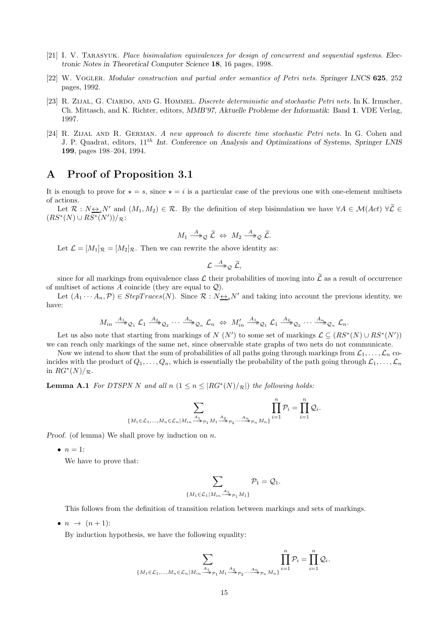- [21] I. V. Tarasyuk. Place bisimulation equivalences for design of concurrent and sequential systems. Electronic Notes in Theoretical Computer Science 18, 16 pages, 1998.
- [22] W. VOGLER. Modular construction and partial order semantics of Petri nets. Springer LNCS 625, 252 pages, 1992.
- [23] R. Zijal, G. Ciardo, and G. Hommel. Discrete deterministic and stochastic Petri nets. In K. Irmscher, Ch. Mittasch, and K. Richter, editors, MMB'97, Aktuelle Probleme der Informatik: Band 1. VDE Verlag, 1997.
- [24] R. Zijal and R. German. A new approach to discrete time stochastic Petri nets. In G. Cohen and J. P. Quadrat, editors,  $11^{th}$  Int. Conference on Analysis and Optimizations of Systems, Springer LNIS 199, pages 198–204, 1994.

## A Proof of Proposition 3.1

It is enough to prove for  $\star = s$ , since  $\star = i$  is a particular case of the previous one with one-element multisets of actions.

Let  $\mathcal{R}: N \leftrightarrow_s N'$  and  $(M_1, M_2) \in \mathcal{R}$ . By the definition of step bisimulation we have  $\forall A \in \mathcal{M}(Act)$   $\forall \widetilde{\mathcal{L}} \in$  $(RS^*(N) \cup RS^*(N'))/R$ :

$$
M_1 \stackrel{A}{\longrightarrow}_\mathcal{Q} \widetilde{\mathcal{L}} \Leftrightarrow M_2 \stackrel{A}{\longrightarrow}_\mathcal{Q} \widetilde{\mathcal{L}}.
$$

Let  $\mathcal{L} = [M_1]_{\mathcal{R}} = [M_2]_{\mathcal{R}}$ . Then we can rewrite the above identity as:

$$
\mathcal{L} \stackrel{A}{\longrightarrow}_{\mathcal{Q}} \widetilde{\mathcal{L}},
$$

since for all markings from equivalence class  $\mathcal L$  their probabilities of moving into  $\tilde{\mathcal L}$  as a result of occurrence of multiset of actions A coincide (they are equal to  $\mathcal{Q}$ ).

Let  $(A_1 \cdots A_n, \mathcal{P}) \in StepTrace(N)$ . Since  $\mathcal{R} : N \rightarrow N'$  and taking into account the previous identity, we have:

$$
M_{in} \xrightarrow{A_1} \mathcal{Q}_1 \mathcal{L}_1 \xrightarrow{A_2} \mathcal{Q}_2 \cdots \xrightarrow{A_n} \mathcal{Q}_n \mathcal{L}_n \Leftrightarrow M'_{in} \xrightarrow{A_1} \mathcal{Q}_1 \mathcal{L}_1 \xrightarrow{A_2} \mathcal{Q}_2 \cdots \xrightarrow{A_n} \mathcal{Q}_n \mathcal{L}_n.
$$

Let us also note that starting from markings of N (N') to some set of markings  $\mathcal{L} \subseteq (RS^*(N) \cup RS^*(N'))$ we can reach only markings of the same net, since observable state graphs of two nets do not communicate.

Now we intend to show that the sum of probabilities of all paths going through markings from  $\mathcal{L}_1, \ldots, \mathcal{L}_n$  coincides with the product of  $Q_1, \ldots, Q_n$ , which is essentially the probability of the path going through  $\mathcal{L}_1, \ldots, \mathcal{L}_n$ in  $RG^*(N)/_{\mathcal{R}}$ .

**Lemma A.1** For DTSPN N and all  $n (1 \le n \le |RG^*(N)/_{\mathcal{R}}|)$  the following holds:

$$
\sum_{\{M_1\in \mathcal{L}_1,...,M_n\in \mathcal{L}_n | M_{in} \overset{A_1}{\longrightarrow}_{\mathcal{P}_1} M_1 \overset{A_2}{\longrightarrow}_{\mathcal{P}_2}... \overset{A_n}{\longrightarrow}_{\mathcal{P}_n} M_n\}} \prod_{i=1}^n \mathcal{P}_i = \prod_{i=1}^n \mathcal{Q}_i.
$$

*Proof.* (of lemma) We shall prove by induction on  $n$ .

 $\bullet$   $n=1$ :

We have to prove that:

$$
\sum_{\{M_1 \in \mathcal{L}_1 | M_{in} \stackrel{A_1}{\longrightarrow}_{\mathcal{P}_1} M_1\}} \mathcal{P}_1 = \mathcal{Q}_1.
$$

This follows from the definition of transition relation between markings and sets of markings.

 $\bullet$   $n \rightarrow (n+1)$ :

By induction hypothesis, we have the following equality:

$$
\sum_{\{M_1\in \mathcal{L}_1,\ldots,M_n\in \mathcal{L}_n | M_{in} \overset{A_1}{\longrightarrow} _{\mathcal{P}_1} M_1 \overset{A_2}{\longrightarrow} _{\mathcal{P}_2} \ldots \overset{A_n}{\longrightarrow} _{\mathcal{P}_n} M_n\}} \prod_{i=1}^n \mathcal{P}_i = \prod_{i=1}^n \mathcal{Q}_i.
$$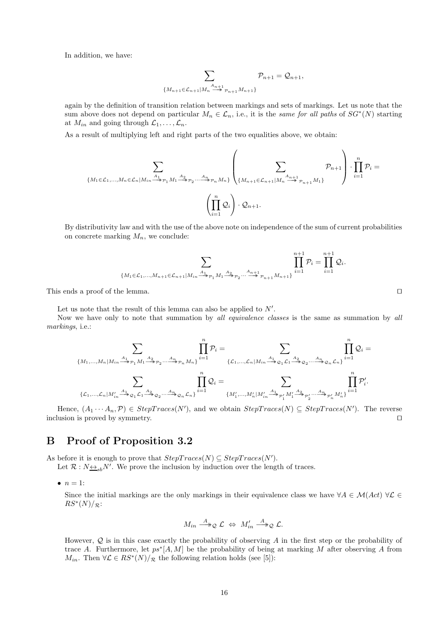In addition, we have:

$$
\sum_{\{M_{n+1}\in\mathcal{L}_{n+1}|M_n\stackrel{A_{n+1}}{\longrightarrow}\mathcal{P}_{n+1}M_{n+1}\}}\mathcal{P}_{n+1}=\mathcal{Q}_{n+1},
$$

again by the definition of transition relation between markings and sets of markings. Let us note that the sum above does not depend on particular  $M_n \in \mathcal{L}_n$ , i.e., it is the same for all paths of  $SG^*(N)$  starting at  $M_{in}$  and going through  $\mathcal{L}_1, \ldots, \mathcal{L}_n$ .

As a result of multiplying left and right parts of the two equalities above, we obtain:

$$
\sum_{\{M_1 \in \mathcal{L}_1, \dots, M_n \in \mathcal{L}_n | M_{in} \xrightarrow{A_1} p_1 M_1 \xrightarrow{A_2} p_2 \dots \xrightarrow{A_n} p_n M_n\}} \left( \sum_{\{M_{n+1} \in \mathcal{L}_{n+1} | M_n \xrightarrow{A_{n+1}} p_{n+1} M_1\}} \mathcal{P}_{n+1} \right) \cdot \prod_{i=1}^n \mathcal{P}_i =
$$
\n
$$
\left( \prod_{i=1}^n \mathcal{Q}_i \right) \cdot \mathcal{Q}_{n+1}.
$$

By distributivity law and with the use of the above note on independence of the sum of current probabilities on concrete marking  $M_n$ , we conclude:

$$
\sum_{\{M_1 \in \mathcal{L}_1, \dots, M_{n+1} \in \mathcal{L}_{n+1} | M_{in} \xrightarrow{A_1} p_1 M_1 \xrightarrow{A_2} p_2 \dots \xrightarrow{A_{n+1}} p_{n+1} M_{n+1}\}} \prod_{i=1}^{n+1} \mathcal{P}_i = \prod_{i=1}^{n+1} \mathcal{Q}_i.
$$

This ends a proof of the lemma. □

Let us note that the result of this lemma can also be applied to  $N'$ .

Now we have only to note that summation by all equivalence classes is the same as summation by all markings, i.e.:

$$
\sum_{\{M_1,\ldots,M_n\mid M_{in}\xrightarrow{A_1}_{\mathcal{P}_1}M_1\xrightarrow{A_2}_{\mathcal{P}_2} \ldots \xrightarrow{A_n}_{\mathcal{P}_n}M_n\}}\prod_{i=1}^n\mathcal{P}_i=\sum_{\{\mathcal{L}_1,\ldots,\mathcal{L}_n\mid M_{in}\xrightarrow{A_1}_{\mathcal{P}_2} \ldots \xrightarrow{A_n}_{\mathcal{P}_n} \mathcal{L}_n\}}\prod_{i=1}^n\mathcal{Q}_i=\sum_{\{L_1,\ldots,\mathcal{L}_n\mid M'_{in}\xrightarrow{A_1}_{\mathcal{P}_1}M'_1\xrightarrow{A_2}_{\mathcal{P}_2'} \ldots \xrightarrow{A_n}_{\mathcal{P}_n'}M'_n\}}\prod_{i=1}^n\mathcal{P}'_i.
$$

Hence,  $(A_1 \cdots A_n, \mathcal{P}) \in StepTrace(N')$ , and we obtain  $StepTrace(N) \subseteq StepTrace(N')$ . The reverse inclusion is proved by symmetry. ⊓⊔

## B Proof of Proposition 3.2

As before it is enough to prove that  $StepTrace(N) \subseteq StepTrace(N')$ .

Let  $\mathcal{R}: N_{\frac{\longleftrightarrow}{s}b}N'$ . We prove the inclusion by induction over the length of traces.

 $\bullet$   $n=1$ :

Since the initial markings are the only markings in their equivalence class we have  $\forall A \in \mathcal{M}(Act) \ \forall \mathcal{L} \in$  $RS^*(N)/_{\mathcal{R}}$ :

$$
M_{in} \stackrel{A}{\longrightarrow}_\mathcal{Q} \mathcal{L} \Leftrightarrow M'_{in} \stackrel{A}{\longrightarrow}_\mathcal{Q} \mathcal{L}.
$$

However,  $Q$  is in this case exactly the probability of observing A in the first step or the probability of trace A. Furthermore, let  $ps^*[A, M]$  be the probability of being at marking M after observing A from  $M_{in}$ . Then  $\forall \mathcal{L} \in RS^*(N)/_{\mathcal{R}}$  the following relation holds (see [5]):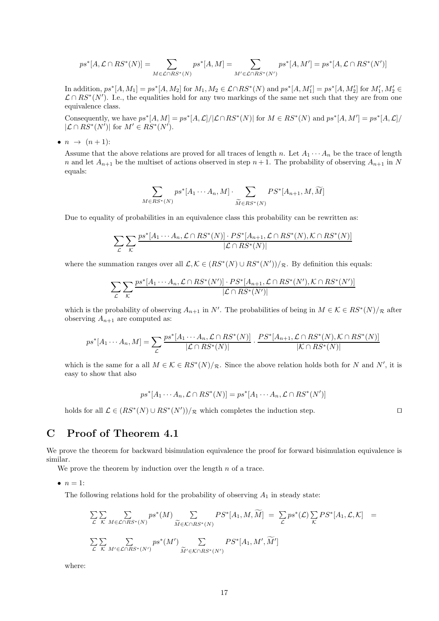$$
ps^*[A, \mathcal{L} \cap RS^*(N)] = \sum_{M \in \mathcal{L} \cap RS^*(N)} ps^*[A, M] = \sum_{M' \in \mathcal{L} \cap RS^*(N')} ps^*[A, M'] = ps^*[A, \mathcal{L} \cap RS^*(N')] \label{eq:2}
$$

 $\text{In addition, } ps^*[A, M_1] = ps^*[A, M_2] \text{ for } M_1, M_2 \in \mathcal{L} \cap RS^*(N) \text{ and } ps^*[A, M'_1] = ps^*[A, M'_2] \text{ for } M'_1, M'_2 \in \mathcal{L} \cap RS^*(N)$  $\mathcal{L} \cap RS^*(N')$ . I.e., the equalities hold for any two markings of the same net such that they are from one equivalence class.

Consequently, we have  $ps^*[A, M] = ps^*[A, \mathcal{L}] / |\mathcal{L} \cap RS^*(N)|$  for  $M \in RS^*(N)$  and  $ps^*[A, M'] = ps^*[A, \mathcal{L}] / |\mathcal{L} \cap RS^*(N)|$  $|\mathcal{L} \cap RS^*(N')|$  for  $M' \in RS^*(N')$ .

 $\bullet$   $n \rightarrow (n+1)$ :

Assume that the above relations are proved for all traces of length n. Let  $A_1 \cdots A_n$  be the trace of length n and let  $A_{n+1}$  be the multiset of actions observed in step  $n+1$ . The probability of observing  $A_{n+1}$  in N equals:

$$
\sum_{M \in RS^*(N)} ps^*[A_1 \cdots A_n, M] \cdot \sum_{\widetilde{M} \in RS^*(N)} PS^*[A_{n+1}, M, \widetilde{M}]
$$

Due to equality of probabilities in an equivalence class this probability can be rewritten as:

$$
\sum_{\mathcal{L}} \sum_{\mathcal{K}} \frac{ps^*[A_1 \cdots A_n, \mathcal{L} \cap RS^*(N)] \cdot PS^*[A_{n+1}, \mathcal{L} \cap RS^*(N), \mathcal{K} \cap RS^*(N)]}{|\mathcal{L} \cap RS^*(N)|}
$$

where the summation ranges over all  $\mathcal{L}, \mathcal{K} \in (RS^*(N) \cup RS^*(N'))/\mathcal{R}$ . By definition this equals:

$$
\sum_{\mathcal{L}} \sum_{\mathcal{K}} \frac{ps^*[A_1 \cdots A_n, \mathcal{L} \cap RS^*(N')] \cdot PS^*[A_{n+1}, \mathcal{L} \cap RS^*(N'), \mathcal{K} \cap RS^*(N')]}{|\mathcal{L} \cap RS^*(N')|}
$$

which is the probability of observing  $A_{n+1}$  in N'. The probabilities of being in  $M \in \mathcal{K} \in RS^*(N)/\mathcal{R}$  after observing  $A_{n+1}$  are computed as:

$$
ps^*[A_1\cdots A_n, M] = \sum_{\mathcal{L}} \frac{ps^*[A_1\cdots A_n, \mathcal{L} \cap RS^*(N)]}{|\mathcal{L} \cap RS^*(N)|} \cdot \frac{PS^*[A_{n+1}, \mathcal{L} \cap RS^*(N), \mathcal{K} \cap RS^*(N)]}{|\mathcal{K} \cap RS^*(N)|}
$$

which is the same for a all  $M \in \mathcal{K} \in RS^*(N)/_{\mathcal{R}}$ . Since the above relation holds both for N and N', it is easy to show that also

$$
ps^*[A_1 \cdots A_n, \mathcal{L} \cap RS^*(N)] = ps^*[A_1 \cdots A_n, \mathcal{L} \cap RS^*(N')]
$$

holds for all  $\mathcal{L} \in (RS^*(N) \cup RS^*(N'))/\mathcal{R}$  which completes the induction step. □

## C Proof of Theorem 4.1

We prove the theorem for backward bisimulation equivalence the proof for forward bisimulation equivalence is similar.

We prove the theorem by induction over the length  $n$  of a trace.

 $\bullet$   $n=1$ :

The following relations hold for the probability of observing  $A_1$  in steady state:

$$
\sum_{\mathcal{L}} \sum_{\mathcal{K}} \sum_{M \in \mathcal{L} \cap RS^*(N)} ps^*(M) \sum_{\widetilde{M} \in \mathcal{K} \cap RS^*(N)} PS^*[A_1, M, \widetilde{M}] = \sum_{\mathcal{L}} ps^*(\mathcal{L}) \sum_{\mathcal{K}} PS^*[A_1, \mathcal{L}, \mathcal{K}] =
$$
  

$$
\sum_{\mathcal{L}} \sum_{\mathcal{K}} \sum_{M' \in \mathcal{L} \cap RS^*(N')} ps^*(M') \sum_{\widetilde{M}' \in \mathcal{K} \cap RS^*(N')} PS^*[A_1, M', \widetilde{M}']
$$

where: